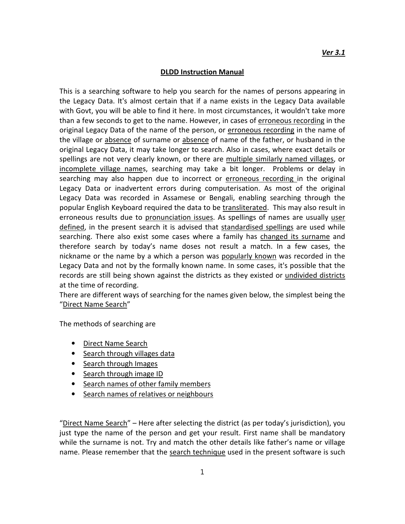## **DLDD Instruction Manual**

This is a searching software to help you search for the names of persons appearing in the Legacy Data. It's almost certain that if a name exists in the Legacy Data available with Govt, you will be able to find it here. In most circumstances, it wouldn't take more than a few seconds to get to the name. However, in cases of erroneous recording in the original Legacy Data of the name of the person, or erroneous recording in the name of the village or absence of surname or absence of name of the father, or husband in the original Legacy Data, it may take longer to search. Also in cases, where exact details or spellings are not very clearly known, or there are multiple similarly named villages, or incomplete village names, searching may take a bit longer. Problems or delay in searching may also happen due to incorrect or erroneous recording in the original Legacy Data or inadvertent errors during computerisation. As most of the original Legacy Data was recorded in Assamese or Bengali, enabling searching through the popular English Keyboard required the data to be transliterated. This may also result in erroneous results due to pronunciation issues. As spellings of names are usually user defined, in the present search it is advised that standardised spellings are used while searching. There also exist some cases where a family has changed its surname and therefore search by today's name doses not result a match. In a few cases, the nickname or the name by a which a person was popularly known was recorded in the Legacy Data and not by the formally known name. In some cases, it's possible that the records are still being shown against the districts as they existed or undivided districts at the time of recording.

There are different ways of searching for the names given below, the simplest being the "Direct Name Search"

The methods of searching are

- Direct Name Search
- Search through villages data
- Search through Images
- Search through image ID
- Search names of other family members
- Search names of relatives or neighbours

"Direct Name Search" – Here after selecting the district (as per today's jurisdiction), you just type the name of the person and get your result. First name shall be mandatory while the surname is not. Try and match the other details like father's name or village name. Please remember that the search technique used in the present software is such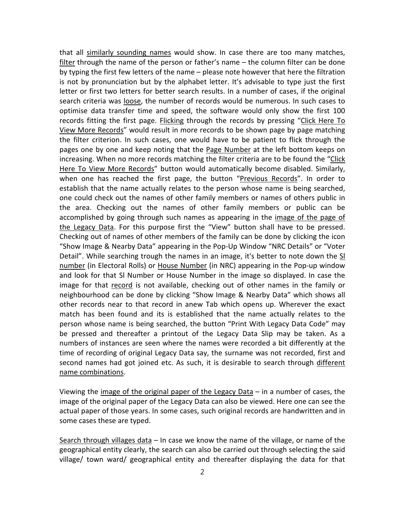that all similarly sounding names would show. In case there are too many matches, filter through the name of the person or father's name – the column filter can be done by typing the first few letters of the name – please note however that here the filtration is not by pronunciation but by the alphabet letter. It's advisable to type just the first letter or first two letters for better search results. In a number of cases, if the original search criteria was loose, the number of records would be numerous. In such cases to optimise data transfer time and speed, the software would only show the first 100 records fitting the first page. Flicking through the records by pressing "Click Here To View More Records" would result in more records to be shown page by page matching the filter criterion. In such cases, one would have to be patient to flick through the pages one by one and keep noting that the Page Number at the left bottom keeps on increasing. When no more records matching the filter criteria are to be found the "Click Here To View More Records" button would automatically become disabled. Similarly, when one has reached the first page, the button "Previous Records". In order to establish that the name actually relates to the person whose name is being searched, one could check out the names of other family members or names of others public in the area. Checking out the names of other family members or public can be accomplished by going through such names as appearing in the *image of the page of* the Legacy Data. For this purpose first the "View" button shall have to be pressed. Checking out of names of other members of the family can be done by clicking the icon "Show Image & Nearby Data" appearing in the Pop-Up Window "NRC Details" or "Voter Detail". While searching trough the names in an image, it's better to note down the SI number (in Electoral Rolls) or House Number (in NRC) appearing in the Pop-up window and look for that Sl Number or House Number in the image so displayed. In case the image for that record is not available, checking out of other names in the family or neighbourhood can be done by clicking "Show Image & Nearby Data" which shows all other records near to that record in anew Tab which opens up. Wherever the exact match has been found and its is established that the name actually relates to the person whose name is being searched, the button "Print With Legacy Data Code" may be pressed and thereafter a printout of the Legacy Data Slip may be taken. As a numbers of instances are seen where the names were recorded a bit differently at the time of recording of original Legacy Data say, the surname was not recorded, first and second names had got joined etc. As such, it is desirable to search through different name combinations.

Viewing the image of the original paper of the Legacy Data – in a number of cases, the image of the original paper of the Legacy Data can also be viewed. Here one can see the actual paper of those years. In some cases, such original records are handwritten and in some cases these are typed.

Search through villages data – In case we know the name of the village, or name of the geographical entity clearly, the search can also be carried out through selecting the said village/ town ward/ geographical entity and thereafter displaying the data for that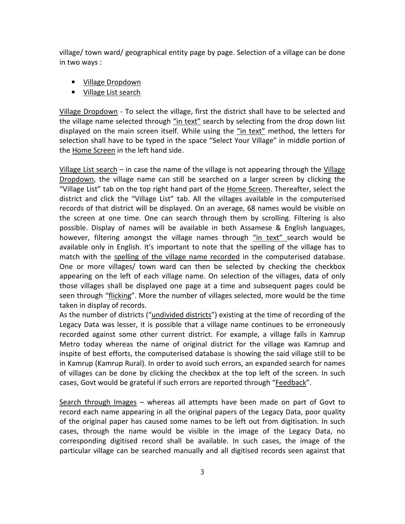village/ town ward/ geographical entity page by page. Selection of a village can be done in two ways :

- Village Dropdown
- Village List search

Village Dropdown - To select the village, first the district shall have to be selected and the village name selected through "in text" search by selecting from the drop down list displayed on the main screen itself. While using the "in text" method, the letters for selection shall have to be typed in the space "Select Your Village" in middle portion of the Home Screen in the left hand side.

Village List search – in case the name of the village is not appearing through the Village Dropdown, the village name can still be searched on a larger screen by clicking the "Village List" tab on the top right hand part of the Home Screen. Thereafter, select the district and click the "Village List" tab. All the villages available in the computerised records of that district will be displayed. On an average, 68 names would be visible on the screen at one time. One can search through them by scrolling. Filtering is also possible. Display of names will be available in both Assamese & English languages, however, filtering amongst the village names through "in text" search would be available only in English. It's important to note that the spelling of the village has to match with the spelling of the village name recorded in the computerised database. One or more villages/ town ward can then be selected by checking the checkbox appearing on the left of each village name. On selection of the villages, data of only those villages shall be displayed one page at a time and subsequent pages could be seen through "flicking". More the number of villages selected, more would be the time taken in display of records.

As the number of districts ("undivided districts") existing at the time of recording of the Legacy Data was lesser, it is possible that a village name continues to be erroneously recorded against some other current district. For example, a village falls in Kamrup Metro today whereas the name of original district for the village was Kamrup and inspite of best efforts, the computerised database is showing the said village still to be in Kamrup (Kamrup Rural). In order to avoid such errors, an expanded search for names of villages can be done by clicking the checkbox at the top left of the screen. In such cases, Govt would be grateful if such errors are reported through "Feedback".

Search through Images – whereas all attempts have been made on part of Govt to record each name appearing in all the original papers of the Legacy Data, poor quality of the original paper has caused some names to be left out from digitisation. In such cases, through the name would be visible in the image of the Legacy Data, no corresponding digitised record shall be available. In such cases, the image of the particular village can be searched manually and all digitised records seen against that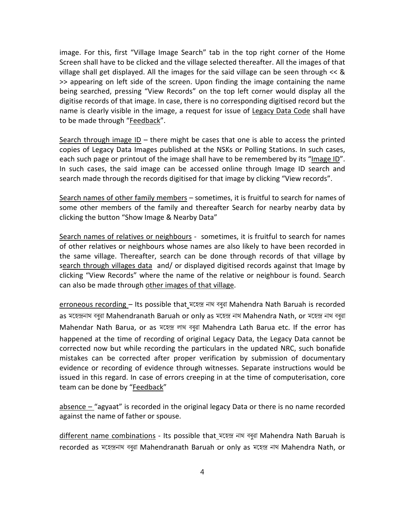image. For this, first "Village Image Search" tab in the top right corner of the Home Screen shall have to be clicked and the village selected thereafter. All the images of that village shall get displayed. All the images for the said village can be seen through << & >> appearing on left side of the screen. Upon finding the image containing the name being searched, pressing "View Records" on the top left corner would display all the digitise records of that image. In case, there is no corresponding digitised record but the name is clearly visible in the image, a request for issue of Legacy Data Code shall have to be made through "Feedback".

Search through image  $ID -$  there might be cases that one is able to access the printed copies of Legacy Data Images published at the NSKs or Polling Stations. In such cases, each such page or printout of the image shall have to be remembered by its "Image ID". In such cases, the said image can be accessed online through Image ID search and search made through the records digitised for that image by clicking "View records".

Search names of other family members - sometimes, it is fruitful to search for names of some other members of the family and thereafter Search for nearby nearby data by clicking the button "Show Image & Nearby Data"

Search names of relatives or neighbours - sometimes, it is fruitful to search for names of other relatives or neighbours whose names are also likely to have been recorded in the same village. Thereafter, search can be done through records of that village by search through villages data and/ or displayed digitised records against that Image by clicking "View Records" where the name of the relative or neighbour is found. Search can also be made through other images of that village.

erroneous recording - Its possible that Nova and agai Mahendra Nath Baruah is recorded as মহেন্দ্ৰনাথ বৰুৱা Mahendranath Baruah or only as মহেন্দ্ৰ নাথ Mahendra Nath, or মহেন্দ্ৰ নাথ বৰুৱা Mahendar Nath Barua, or as মহেন্দ্ৰ লাথ বৰুৱা Mahendra Lath Barua etc. If the error has happened at the time of recording of original Legacy Data, the Legacy Data cannot be corrected now but while recording the particulars in the updated NRC, such bonafide mistakes can be corrected after proper verification by submission of documentary evidence or recording of evidence through witnesses. Separate instructions would be issued in this regard. In case of errors creeping in at the time of computerisation, core team can be done by "Feedback"

absence – "agyaat" is recorded in the original legacy Data or there is no name recorded against the name of father or spouse.

different name combinations - Its possible that\_মহেন্দ্ৰ নাথ বৰুৱা Mahendra Nath Baruah is recorded as মহেন্দ্ৰনাথ বৰুৱা Mahendranath Baruah or only as মহেন্দ্ৰ নাথ Mahendra Nath, or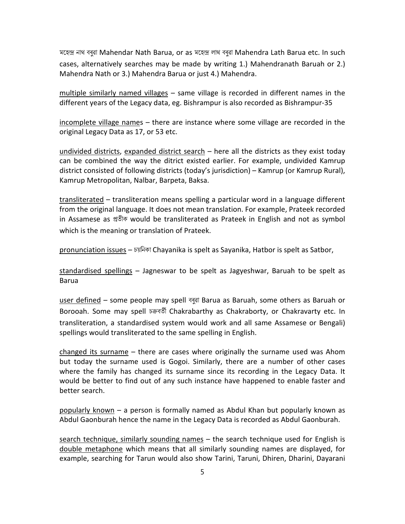মহেন্দ্ৰ নাথ বৰুৱা Mahendar Nath Barua, or as মহেন্দ্ৰ লাথ বৰুৱা Mahendra Lath Barua etc. In such cases, alternatively searches may be made by writing 1.) Mahendranath Baruah or 2.) Mahendra Nath or 3.) Mahendra Barua or just 4.) Mahendra.

multiple similarly named villages - same village is recorded in different names in the different years of the Legacy data, eg. Bishrampur is also recorded as Bishrampur-35

incomplete village names – there are instance where some village are recorded in the original Legacy Data as 17, or 53 etc.

undivided districts, expanded district search – here all the districts as they exist today can be combined the way the ditrict existed earlier. For example, undivided Kamrup district consisted of following districts (today's jurisdiction) – Kamrup (or Kamrup Rural), Kamrup Metropolitan, Nalbar, Barpeta, Baksa.

transliterated - transliteration means spelling a particular word in a language different from the original language. It does not mean translation. For example, Prateek recorded in Assamese as প্ৰতীক would be transliterated as Prateek in English and not as symbol which is the meaning or translation of Prateek.

 $p$ ronunciation issues – চয়নিকা Chayanika is spelt as Sayanika, Hatbor is spelt as Satbor,

standardised spellings – Jagneswar to be spelt as Jagyeshwar, Baruah to be spelt as Barua

user defined - some people may spell ब्रबूब Barua as Baruah, some others as Baruah or Borooah. Some may spell চক্রবর্তী Chakrabarthy as Chakraborty, or Chakravarty etc. In transliteration, a standardised system would work and all same Assamese or Bengali) spellings would transliterated to the same spelling in English.

changed its surname – there are cases where originally the surname used was Ahom but today the surname used is Gogoi. Similarly, there are a number of other cases where the family has changed its surname since its recording in the Legacy Data. It would be better to find out of any such instance have happened to enable faster and better search.

popularly known – a person is formally named as Abdul Khan but popularly known as Abdul Gaonburah hence the name in the Legacy Data is recorded as Abdul Gaonburah.

search technique, similarly sounding names – the search technique used for English is double metaphone which means that all similarly sounding names are displayed, for example, searching for Tarun would also show Tarini, Taruni, Dhiren, Dharini, Dayarani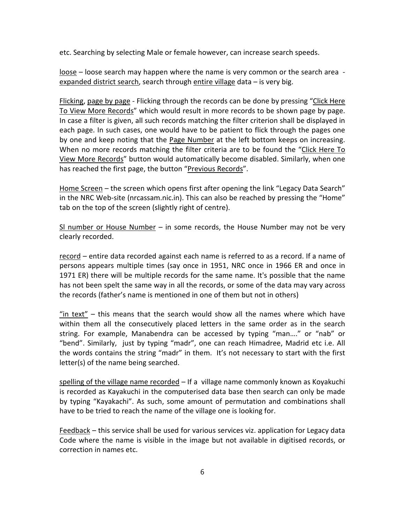etc. Searching by selecting Male or female however, can increase search speeds.

loose – loose search may happen where the name is very common or the search area expanded district search, search through entire village data – is very big.

Flicking, page by page - Flicking through the records can be done by pressing "Click Here To View More Records" which would result in more records to be shown page by page. In case a filter is given, all such records matching the filter criterion shall be displayed in each page. In such cases, one would have to be patient to flick through the pages one by one and keep noting that the Page Number at the left bottom keeps on increasing. When no more records matching the filter criteria are to be found the "Click Here To View More Records" button would automatically become disabled. Similarly, when one has reached the first page, the button "Previous Records".

Home Screen – the screen which opens first after opening the link "Legacy Data Search" in the NRC Web-site (nrcassam.nic.in). This can also be reached by pressing the "Home" tab on the top of the screen (slightly right of centre).

SI number or House Number – in some records, the House Number may not be very clearly recorded.

record – entire data recorded against each name is referred to as a record. If a name of persons appears multiple times (say once in 1951, NRC once in 1966 ER and once in 1971 ER) there will be multiple records for the same name. It's possible that the name has not been spelt the same way in all the records, or some of the data may vary across the records (father's name is mentioned in one of them but not in others)

"in text" – this means that the search would show all the names where which have within them all the consecutively placed letters in the same order as in the search string. For example, Manabendra can be accessed by typing "man…." or "nab" or "bend". Similarly, just by typing "madr", one can reach Himadree, Madrid etc i.e. All the words contains the string "madr" in them. It's not necessary to start with the first letter(s) of the name being searched.

spelling of the village name recorded - If a village name commonly known as Koyakuchi is recorded as Kayakuchi in the computerised data base then search can only be made by typing "Kayakachi". As such, some amount of permutation and combinations shall have to be tried to reach the name of the village one is looking for.

Feedback – this service shall be used for various services viz. application for Legacy data Code where the name is visible in the image but not available in digitised records, or correction in names etc.